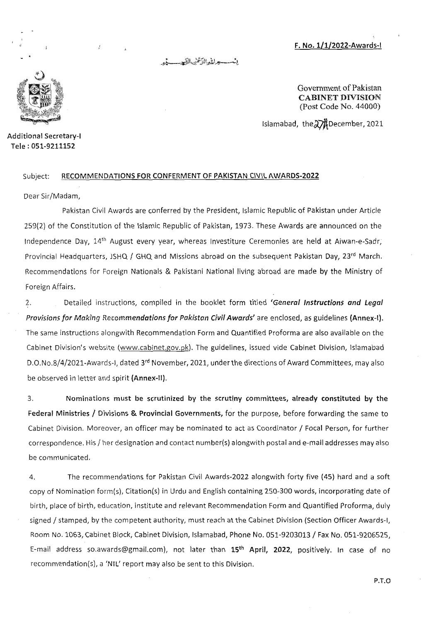**F. No. 1/1/2022-Awards-I** 

بنسسيعراناه الترثنن التهجيب يثبر



**Additional Secretary-I Tele : 051-9211152** 

**Government of Pakistan CABINET DIVISION**  (Post Code No. 44000)

Islamabad, the 27<sup>1</sup> December, 2021

## Subject: **RECOMMENDATIONS FOR CONFERMENT OF PAKISTAN CIVIL AWARDS-2022**

**Dear** Sir/Madam,

Pakistan Civil **Awards** are conferred by the President, Islamic Republic of Pakistan under Article 259(2) of the Constitution **of** the **Islamic** Republic of Pakistan, 1973. These Awards are announced **on** the Independence Day, 14<sup>th</sup> August every year, whereas Investiture Ceremonies are held at Aiwan-e-Sadr, Provincial Headquarters, iSHQ / GHQ and Missions abroad on the subsequent Pakistan Day, **23rd** March. Recommendations for **Foreign Nationals &** Pakistani National living abroad are made by the Ministry **of Foreign** Affairs.

2. Detailed instructions, compiled in the booklet form titled **'General Instructions and Legal Provisions for Making Recommendations for Pakistan Civil Awards'** are enclosed, as guidelines **(Annex-I).**  The same instructions alongwith Recommendation Form and Quantified Proforma are also available on the Cabinet Division's website (www.cabinet.gov.pk). The guidelines, issued vide Cabinet Division, Islamabad D.O.No.8/4/2021-Awards-I, dated **3rdNovember,** 2021, under the directions of Award Committees, may also **be** observed **in** letter and spirit **(Annex-II).** 

3. **Nominations must be scrutinized by the scrutiny committees, already constituted by the Federal Ministries / Divisions & Provincial Governments,** for the purpose, before forwarding the same **to**  Cabinet Division. Moreover, **an** officer may be nominated **to act** as Coordinator / Focal Person, for further correspondence. His / her designation and contact number(s) alongwith postal and e-mail addresses may also **be** communicated.

4 The recommendations for Pakistan Civil Awards-2022 alongwith forty five (45) hard **and a** soft copy of Nomination form(s), Citation(s) **in** Urdu and English containing 250-300 words, incorporating date of birth, place **of** birth, education, institute and relevant Recommendation Form and Quantified Proforma, duly signed / stamped, by the competent authority, must reach **at** the Cabinet Division (Section Officer Awards-I, Room **No.** 1063, Cabinet Block, Cabinet Division, Islamabad, Phone No. 051-9203013 / Fax No. 051-9206525, E-mail **address** so.awards@gmail.com), not later than **15th April, 2022,** positively. In case **of no**  recommendation(s), a **'NIL'** report may also **be** sent **to** this Division.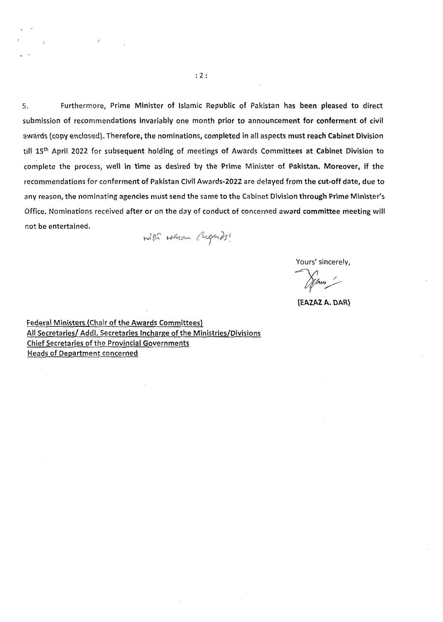5. **Furthermore, Prime Minister of Islamic Republic of Pakistan has been pleased to direct submission of recommendations invariably one month prior to announcement for conferment of civil awards (copy enclosed). Therefore, the nominations, completed in all aspects must reach Cabinet Division till 15th April 2022 for subsequent holding of meetings of Awards Committees at Cabinet Division to complete the process, well in time as desired by the Prime Minister of Pakistan. Moreover, if the recommendations for conferment of Pakistan Civil Awards-2022 are delayed from the cut-off date, due to any reason, the nominating agencies must send the same to the Cabinet Division through Prime Minister's Office. Nominations received after or on the day of conduct of concerned award committee meeting will not be entertained.** 

with whom Cagads!

**Yours' sincerely,** 

Winn !

**(EAZAZ A. DAR)** 

**Federal Ministers (Chair of the Awards Committees) All Secretaries/ Addl. Secretaries lncharge of the Ministries/Divisions Chief Secretaries of the Provincial Governments Heads of Department concerned**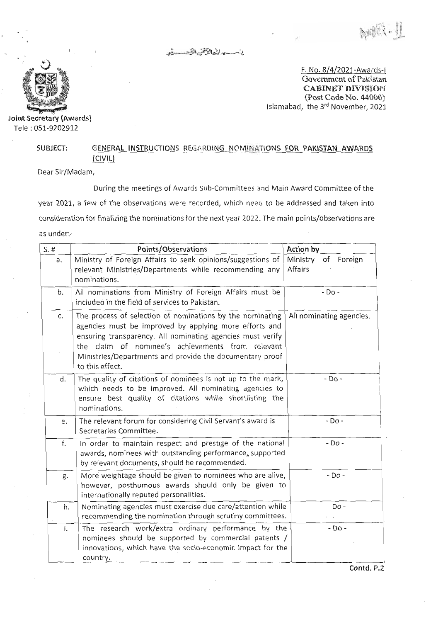in the tell of the summer



Tele : 051-9202912

F. No. 8/4/2021-Awards-I Government of Pakistan **CABINET DIVISION**  (Post Code No. 44000) Islamabad, the 3<sup>rd</sup> November, 2021<br>**Joint Secretary (Awards) Joint Secretary (Awards**)

## SUBJECT: GENERAL INSTRUCTIONS REGARDING NOMINATIONS FOR PAKISTAN AWARDS (CIVIL)

Dear Sir/Madam,

During the meetings of Awards Sub-Committees and Main Award Committee of the year 2021, a few of the observations were recorded, which need to be addressed and taken into consideration for finalizing the nominations for the next year 2022. The main points/observations are as under:-

| $S.$ # | Points/Observations                                                                                                                                                                                                                                                                                                   | Action by                         |
|--------|-----------------------------------------------------------------------------------------------------------------------------------------------------------------------------------------------------------------------------------------------------------------------------------------------------------------------|-----------------------------------|
| a.     | Ministry of Foreign Affairs to seek opinions/suggestions of<br>relevant Ministries/Departments while recommending any<br>nominations.                                                                                                                                                                                 | Ministry<br>of Foreign<br>Affairs |
| b.     | All nominations from Ministry of Foreign Affairs must be<br>included in the field of services to Pakistan.                                                                                                                                                                                                            | $-$ Do $-$                        |
| c.     | The process of selection of nominations by the nominating<br>agencies must be improved by applying more efforts and<br>ensuring transparency. All nominating agencies must verify<br>the claim of nominee's achievements from relevant<br>Ministries/Departments and provide the documentary proof<br>to this effect. | All nominating agencies.          |
| d.     | The quality of citations of nominees is not up to the mark,<br>which needs to be improved. All nominating agencies to<br>ensure best quality of citations while shortlisting the<br>nominations.                                                                                                                      | $-DO -$                           |
| e.     | The relevant forum for considering Civil Servant's award is<br>Secretaries Committee.                                                                                                                                                                                                                                 | $-$ Do -                          |
| f.     | In order to maintain respect and prestige of the national<br>awards, nominees with outstanding performance, supported<br>by relevant documents, should be recommended.                                                                                                                                                | $-DO -$                           |
| g.     | More weightage should be given to nominees who are alive,<br>however, posthumous awards should only be given to<br>internationally reputed personalities.                                                                                                                                                             | $-$ Do $-$                        |
| 'n.    | Nominating agencies must exercise due care/attention while<br>recommending the nomination through scrutiny committees.                                                                                                                                                                                                | - Do -                            |
| i.     | The research work/extra ordinary performance by the<br>nominees should be supported by commercial patents /<br>innovations, which have the socio-economic impact for the<br>country.                                                                                                                                  | - Do -                            |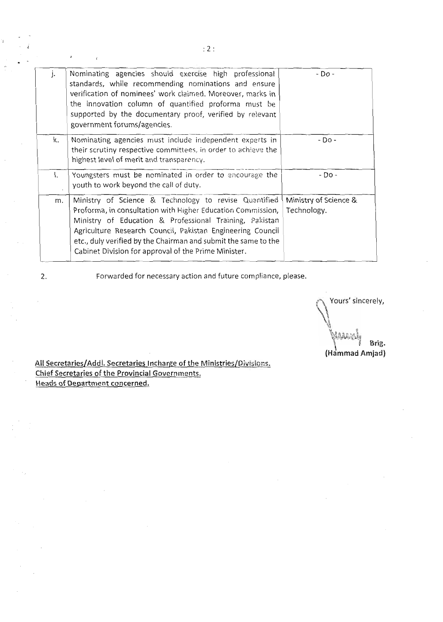| j. | Nominating agencies should exercise high professional<br>standards, while recommending nominations and ensure<br>verification of nominees' work claimed. Moreover, marks in<br>the innovation column of quantified proforma must be<br>supported by the documentary proof, verified by relevant<br>government forums/agencies.                                          | - Do -                               |
|----|-------------------------------------------------------------------------------------------------------------------------------------------------------------------------------------------------------------------------------------------------------------------------------------------------------------------------------------------------------------------------|--------------------------------------|
| k. | Nominating agencies must include independent experts in<br>their scrutiny respective committees, in order to achieve the<br>highest level of merit and transparency.                                                                                                                                                                                                    | $-D0$                                |
| ۱. | Youngsters must be nominated in order to encourage the<br>youth to work beyond the call of duty.                                                                                                                                                                                                                                                                        | - Do -                               |
| m. | Ministry of Science & Technology to revise Quantified<br>Proforma, in consultation with Higher Education Commission,<br>Ministry of Education & Professional Training, Pakistan<br>Agriculture Research Council, Pakistan Engineering Council<br>etc., duly verified by the Chairman and submit the same to the<br>Cabinet Division for approval of the Prime Minister. | Ministry of Science &<br>Technology. |

'n.

2. Forwarded for necessary action and future compliance, please.

Yours' sincerely,  $\mathcal{L}$ **MAAR** I **Brig. (Hammad Amjad)** 

**All** Secretaries/Addl. Secretaries Incharge of the fvflinistries/Dions. <u>All Secretaries/Addi, Secretaries incliarge of the P</u> Chief Secretaries of the Provincial Governments.<br>Heads of Department concerned.